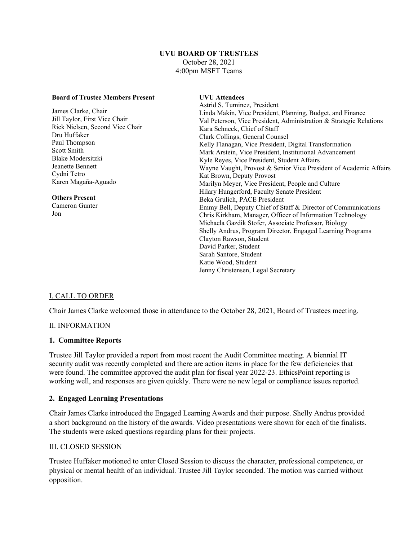#### **UVU BOARD OF TRUSTEES** October 28, 2021 4:00pm MSFT Teams

| <b>Board of Trustee Members Present</b> | <b>UVU</b> Attendees                                               |
|-----------------------------------------|--------------------------------------------------------------------|
|                                         | Astrid S. Tuminez, President                                       |
| James Clarke, Chair                     | Linda Makin, Vice President, Planning, Budget, and Finance         |
| Jill Taylor, First Vice Chair           | Val Peterson, Vice President, Administration & Strategic Relations |
| Rick Nielsen, Second Vice Chair         | Kara Schneck, Chief of Staff                                       |
| Dru Huffaker                            | Clark Collings, General Counsel                                    |
| Paul Thompson                           | Kelly Flanagan, Vice President, Digital Transformation             |
| Scott Smith                             | Mark Arstein, Vice President, Institutional Advancement            |
| Blake Modersitzki                       | Kyle Reyes, Vice President, Student Affairs                        |
| Jeanette Bennett                        | Wayne Vaught, Provost & Senior Vice President of Academic Affairs  |
| Cydni Tetro                             | Kat Brown, Deputy Provost                                          |
| Karen Magaña-Aguado                     | Marilyn Meyer, Vice President, People and Culture                  |
|                                         | Hilary Hungerford, Faculty Senate President                        |
| <b>Others Present</b>                   | Beka Grulich, PACE President                                       |
| Cameron Gunter                          | Emmy Bell, Deputy Chief of Staff & Director of Communications      |
| Jon                                     | Chris Kirkham, Manager, Officer of Information Technology          |
|                                         | Michaela Gazdik Stofer, Associate Professor, Biology               |
|                                         | Shelly Andrus, Program Director, Engaged Learning Programs         |
|                                         | Clayton Rawson, Student                                            |
|                                         | David Parker, Student                                              |
|                                         | Sarah Santore, Student                                             |
|                                         | Katie Wood, Student                                                |
|                                         | Jenny Christensen, Legal Secretary                                 |
|                                         |                                                                    |

# I. CALL TO ORDER

Chair James Clarke welcomed those in attendance to the October 28, 2021, Board of Trustees meeting.

## II. INFORMATION

#### **1. Committee Reports**

Trustee Jill Taylor provided a report from most recent the Audit Committee meeting. A biennial IT security audit was recently completed and there are action items in place for the few deficiencies that were found. The committee approved the audit plan for fiscal year 2022-23. EthicsPoint reporting is working well, and responses are given quickly. There were no new legal or compliance issues reported.

#### **2. Engaged Learning Presentations**

Chair James Clarke introduced the Engaged Learning Awards and their purpose. Shelly Andrus provided a short background on the history of the awards. Video presentations were shown for each of the finalists. The students were asked questions regarding plans for their projects.

#### III. CLOSED SESSION

Trustee Huffaker motioned to enter Closed Session to discuss the character, professional competence, or physical or mental health of an individual. Trustee Jill Taylor seconded. The motion was carried without opposition.